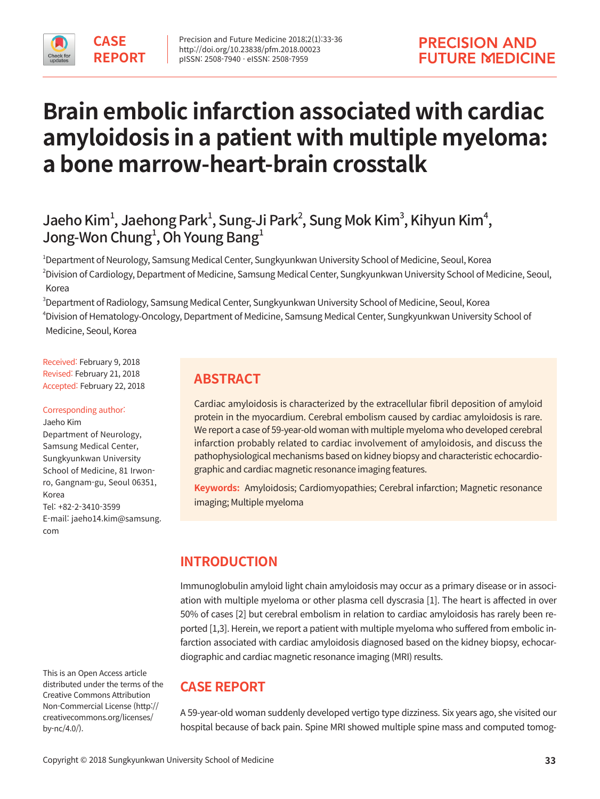

# **Brain embolic infarction associated with cardiac amyloidosis in a patient with multiple myeloma: a bone marrow-heart-brain crosstalk**

# Jaeho Kim<sup>1</sup>, Jaehong Park<sup>1</sup>, Sung-Ji Park<sup>2</sup>, Sung Mok Kim<sup>3</sup>, Kihyun Kim<sup>4</sup>, Jong-Won Chung $^{\scriptscriptstyle 1}$ , Oh Young Bang $^{\scriptscriptstyle 1}$

1 Department of Neurology, Samsung Medical Center, Sungkyunkwan University School of Medicine, Seoul, Korea 2 Division of Cardiology, Department of Medicine, Samsung Medical Center, Sungkyunkwan University School of Medicine, Seoul, Korea

 $^{\text{3}}$ Department of Radiology, Samsung Medical Center, Sungkyunkwan University School of Medicine, Seoul, Korea 4 Division of Hematology-Oncology, Department of Medicine, Samsung Medical Center, Sungkyunkwan University School of Medicine, Seoul, Korea

Received: February 9, 2018 Revised: February 21, 2018 Accepted: February 22, 2018

#### Corresponding author:

Jaeho Kim Department of Neurology, Samsung Medical Center, Sungkyunkwan University School of Medicine, 81 Irwonro, Gangnam-gu, Seoul 06351, Korea Tel: +82-2-3410-3599 E-mail: jaeho14.kim@samsung. com

This is an Open Access article distributed under the terms of the Creative Commons Attribution Non-Commercial License (http:// creativecommons.org/licenses/ by-nc/4.0/).

# **ABSTRACT**

Cardiac amyloidosis is characterized by the extracellular fibril deposition of amyloid protein in the myocardium. Cerebral embolism caused by cardiac amyloidosis is rare. We report a case of 59-year-old woman with multiple myeloma who developed cerebral infarction probably related to cardiac involvement of amyloidosis, and discuss the pathophysiological mechanisms based on kidney biopsy and characteristic echocardiographic and cardiac magnetic resonance imaging features.

**Keywords:** Amyloidosis; Cardiomyopathies; Cerebral infarction; Magnetic resonance imaging; Multiple myeloma

# **INTRODUCTION**

Immunoglobulin amyloid light chain amyloidosis may occur as a primary disease or in association with multiple myeloma or other plasma cell dyscrasia [1]. The heart is affected in over 50% of cases [2] but cerebral embolism in relation to cardiac amyloidosis has rarely been reported [1,3]. Herein, we report a patient with multiple myeloma who suffered from embolic infarction associated with cardiac amyloidosis diagnosed based on the kidney biopsy, echocardiographic and cardiac magnetic resonance imaging (MRI) results.

# **CASE REPORT**

A 59-year-old woman suddenly developed vertigo type dizziness. Six years ago, she visited our hospital because of back pain. Spine MRI showed multiple spine mass and computed tomog-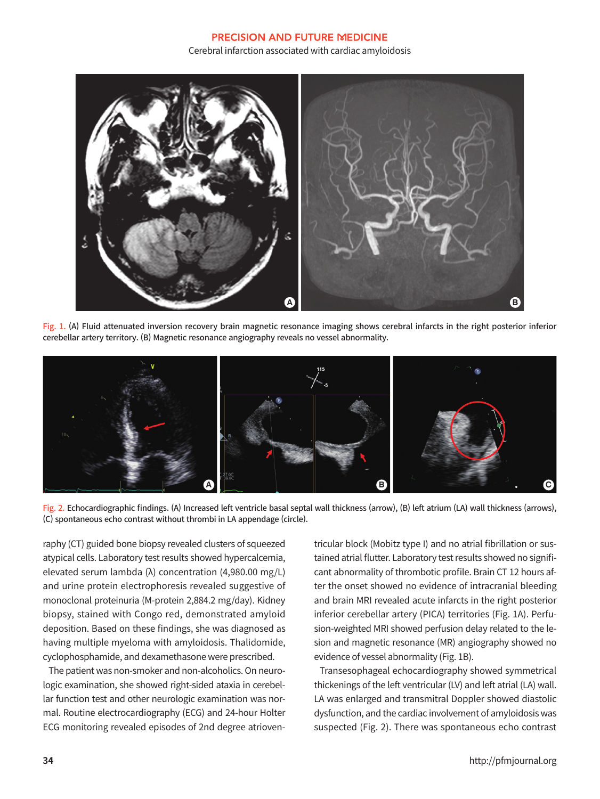#### **PRECISION AND FUTURE MEDICINE** Cerebral infarction associated with cardiac amyloidosis



Fig. 1. (A) Fluid attenuated inversion recovery brain magnetic resonance imaging shows cerebral infarcts in the right posterior inferior cerebellar artery territory. (B) Magnetic resonance angiography reveals no vessel abnormality.





raphy (CT) guided bone biopsy revealed clusters of squeezed atypical cells. Laboratory test results showed hypercalcemia, elevated serum lambda (λ) concentration (4,980.00 mg/L) and urine protein electrophoresis revealed suggestive of monoclonal proteinuria (M-protein 2,884.2 mg/day). Kidney biopsy, stained with Congo red, demonstrated amyloid deposition. Based on these findings, she was diagnosed as having multiple myeloma with amyloidosis. Thalidomide, cyclophosphamide, and dexamethasone were prescribed.

The patient was non-smoker and non-alcoholics. On neurologic examination, she showed right-sided ataxia in cerebellar function test and other neurologic examination was normal. Routine electrocardiography (ECG) and 24-hour Holter ECG monitoring revealed episodes of 2nd degree atrioventricular block (Mobitz type I) and no atrial fibrillation or sustained atrial flutter. Laboratory test results showed no significant abnormality of thrombotic profile. Brain CT 12 hours after the onset showed no evidence of intracranial bleeding and brain MRI revealed acute infarcts in the right posterior inferior cerebellar artery (PICA) territories (Fig. 1A). Perfusion-weighted MRI showed perfusion delay related to the lesion and magnetic resonance (MR) angiography showed no evidence of vessel abnormality (Fig. 1B).

Transesophageal echocardiography showed symmetrical thickenings of the left ventricular (LV) and left atrial (LA) wall. LA was enlarged and transmitral Doppler showed diastolic dysfunction, and the cardiac involvement of amyloidosis was suspected (Fig. 2). There was spontaneous echo contrast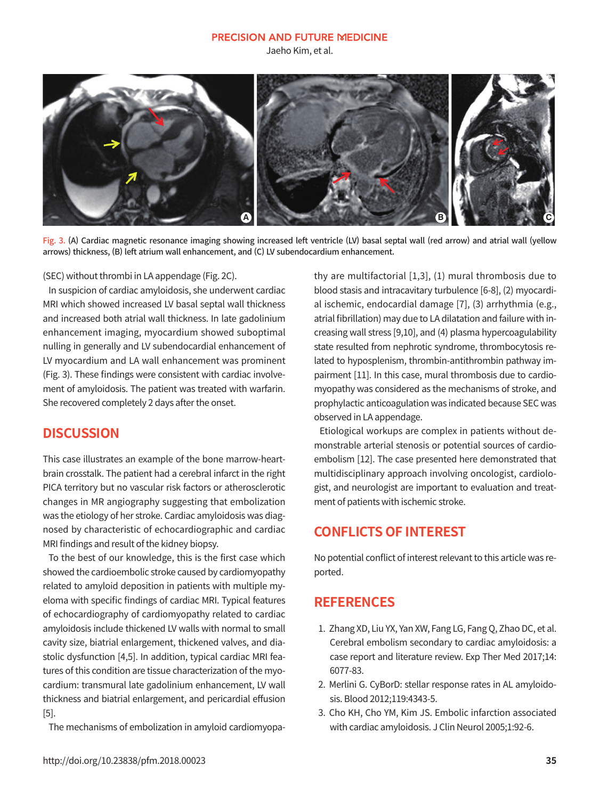#### **PRECISION AND FUTURE MEDICINE**

Jaeho Kim, et al.



Fig. 3. (A) Cardiac magnetic resonance imaging showing increased left ventricle (LV) basal septal wall (red arrow) and atrial wall (yellow arrows) thickness, (B) left atrium wall enhancement, and (C) LV subendocardium enhancement.

(SEC) without thrombi in LA appendage (Fig. 2C).

In suspicion of cardiac amyloidosis, she underwent cardiac MRI which showed increased LV basal septal wall thickness and increased both atrial wall thickness. In late gadolinium enhancement imaging, myocardium showed suboptimal nulling in generally and LV subendocardial enhancement of LV myocardium and LA wall enhancement was prominent (Fig. 3). These findings were consistent with cardiac involvement of amyloidosis. The patient was treated with warfarin. She recovered completely 2 days after the onset.

### **DISCUSSION**

This case illustrates an example of the bone marrow-heartbrain crosstalk. The patient had a cerebral infarct in the right PICA territory but no vascular risk factors or atherosclerotic changes in MR angiography suggesting that embolization was the etiology of her stroke. Cardiac amyloidosis was diagnosed by characteristic of echocardiographic and cardiac MRI findings and result of the kidney biopsy.

To the best of our knowledge, this is the first case which showed the cardioembolic stroke caused by cardiomyopathy related to amyloid deposition in patients with multiple myeloma with specific findings of cardiac MRI. Typical features of echocardiography of cardiomyopathy related to cardiac amyloidosis include thickened LV walls with normal to small cavity size, biatrial enlargement, thickened valves, and diastolic dysfunction [4,5]. In addition, typical cardiac MRI features of this condition are tissue characterization of the myocardium: transmural late gadolinium enhancement, LV wall thickness and biatrial enlargement, and pericardial effusion [5].

The mechanisms of embolization in amyloid cardiomyopa-

thy are multifactorial [1,3], (1) mural thrombosis due to blood stasis and intracavitary turbulence [6-8], (2) myocardial ischemic, endocardial damage [7], (3) arrhythmia (e.g., atrial fibrillation) may due to LA dilatation and failure with increasing wall stress [9,10], and (4) plasma hypercoagulability state resulted from nephrotic syndrome, thrombocytosis related to hyposplenism, thrombin-antithrombin pathway impairment [11]. In this case, mural thrombosis due to cardiomyopathy was considered as the mechanisms of stroke, and prophylactic anticoagulation was indicated because SEC was observed in LA appendage.

Etiological workups are complex in patients without demonstrable arterial stenosis or potential sources of cardioembolism [12]. The case presented here demonstrated that multidisciplinary approach involving oncologist, cardiologist, and neurologist are important to evaluation and treatment of patients with ischemic stroke.

# **CONFLICTS OF INTEREST**

No potential conflict of interest relevant to this article was reported.

## **REFERENCES**

- 1. Zhang XD, Liu YX, Yan XW, Fang LG, Fang Q, Zhao DC, et al. Cerebral embolism secondary to cardiac amyloidosis: a case report and literature review. Exp Ther Med 2017;14: 6077-83.
- 2. Merlini G. CyBorD: stellar response rates in AL amyloidosis. Blood 2012;119:4343-5.
- 3. Cho KH, Cho YM, Kim JS. Embolic infarction associated with cardiac amyloidosis. J Clin Neurol 2005;1:92-6.